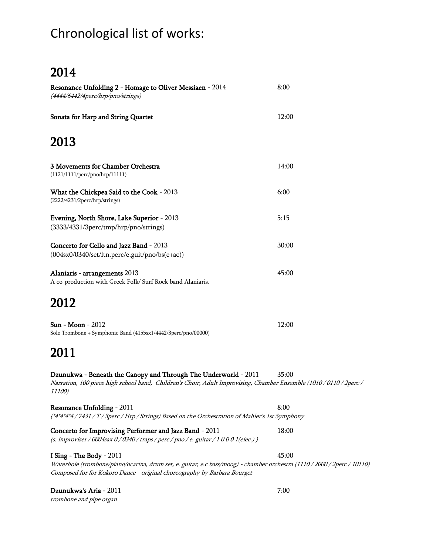# Chronological list of works:

## 2014

| Resonance Unfolding 2 - Homage to Oliver Messiaen - 2014<br>(4444/6442/4perc/hrp/pno/strings)                                                                                                    | 8:00  |
|--------------------------------------------------------------------------------------------------------------------------------------------------------------------------------------------------|-------|
| Sonata for Harp and String Quartet                                                                                                                                                               | 12:00 |
| 2013                                                                                                                                                                                             |       |
| 3 Movements for Chamber Orchestra<br>(1121/1111/perc/pno/hrp/11111)                                                                                                                              | 14:00 |
| What the Chickpea Said to the Cook - 2013<br>(2222/4231/2perc/hrp/strings)                                                                                                                       | 6:00  |
| Evening, North Shore, Lake Superior - 2013<br>(3333/4331/3perc/tmp/hrp/pno/strings)                                                                                                              | 5:15  |
| Concerto for Cello and Jazz Band - 2013<br>$(004s x 0/0340/\text{set/ltn.perc/e.guit/ppo/bs(e+ac)})$                                                                                             | 30:00 |
| Alaniaris - arrangements 2013<br>A co-production with Greek Folk/ Surf Rock band Alaniaris.                                                                                                      | 45:00 |
| 2012                                                                                                                                                                                             |       |
| <b>Sun - Moon - 2012</b><br>Solo Trombone + Symphonic Band (4155sx1/4442/3perc/pno/00000)                                                                                                        | 12:00 |
| 2011                                                                                                                                                                                             |       |
| Dzunukwa - Beneath the Canopy and Through The Underworld - 2011<br>Narration, 100 piece high school band, Children's Choir, Adult Improvising, Chamber Ensemble (1010 / 0110 / 2perc /<br>11100) | 35:00 |
| Resonance Unfolding - 2011                                                                                                                                                                       | 8:00  |
| (*4*4*4*4 / 7431 / T / 3perc / Hrp / Strings) Based on the Orchestration of Mahler's 1st Symphony                                                                                                |       |
| Concerto for Improvising Performer and Jazz Band - 2011<br>(s. improviser / 0004sax 0 / 0340 / traps / perc / pno / e. guitar / 1 0 0 0 1 (elec.) )                                              | 18:00 |
| <b>I Sing - The Body - 2011</b>                                                                                                                                                                  | 45:00 |
| Waterhole (trombone/piano/ocarina, drum set, e. guitar, e.c bass/moog) - chamber orchestra (1110/2000/2perc/10110)<br>Composed for for Kokoro Dance - original choreography by Barbara Bourget   |       |
| Dzunukwa's Aria - 2011                                                                                                                                                                           | 7:00  |

trombone and pipe organ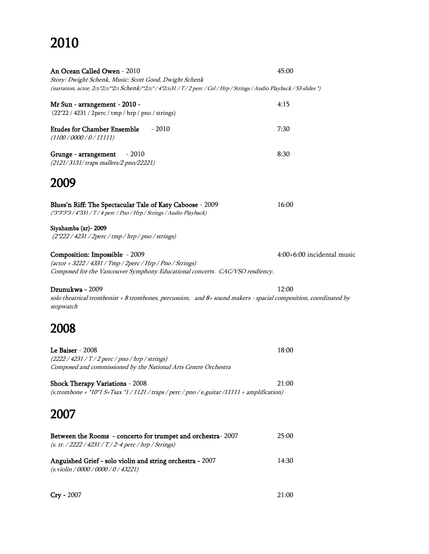# 2010

| An Ocean Called Owen - 2010                                                                                                   | 45:00                      |
|-------------------------------------------------------------------------------------------------------------------------------|----------------------------|
| Story: Dwight Schenk, Music: Scott Good, Dwight Schenk                                                                        |                            |
| (narration, actor, 2(3)*2(3)**2(3) Schenk)**2(3)*/4*2(3)31 / T / 2 perc / Cel / Hrp / Strings / Audio Playback / 53 slides *) |                            |
|                                                                                                                               |                            |
| Mr Sun - arrangement - 2010 -                                                                                                 | 4:15                       |
| (22*22 / 4231 / 2perc / tmp / hrp / pno / strings)                                                                            |                            |
| <b>Etudes for Chamber Ensemble</b><br>$-2010$                                                                                 | 7:30                       |
| (1100/0000/0/11111)                                                                                                           |                            |
|                                                                                                                               |                            |
| $-2010$<br>Grunge - arrangement                                                                                               | 8:30                       |
| (2121/3131/traps mallets/2 pno/22221)                                                                                         |                            |
|                                                                                                                               |                            |
| 2009                                                                                                                          |                            |
|                                                                                                                               |                            |
|                                                                                                                               | 16:00                      |
| Blues'n Riff: The Spectacular Tale of Katy Caboose - 2009                                                                     |                            |
| (*3*3*3/4*331 / T / 4 perc / Pno / Hrp / Strings / Audio Playback)                                                            |                            |
| Siyahamba (ar)-2009                                                                                                           |                            |
| $(2*222 / 4231 / 2$ perc / tmp / hrp / pno / strings)                                                                         |                            |
|                                                                                                                               |                            |
| Composition: Impossible - 2009                                                                                                | 4:00+6:00 incidental music |
| (actor + 3222 / 4331 / Tmp / 2perc / Hrp / Pno / Strings)                                                                     |                            |
| Composed for the Vancouver Symphony Educational concerts. CAC/VSO resdiency.                                                  |                            |
|                                                                                                                               |                            |
| Dzunukwa - 2009                                                                                                               | 12:00                      |
|                                                                                                                               |                            |
| solo theatrical trombonist + 8 trombones, percussion, and 8+ sound makers - spacial composition, coordinated by               |                            |
| stopwatch                                                                                                                     |                            |
|                                                                                                                               |                            |
| 2008                                                                                                                          |                            |
|                                                                                                                               |                            |
| <b>Le Baiser</b> - 2008                                                                                                       | 18:00                      |
| $(2222 / 4231 / T / 2$ perc / pno / hrp / strings)                                                                            |                            |
| Composed and commissioned by the National Arts Centre Orchestra                                                               |                            |
|                                                                                                                               |                            |
| <b>Shock Therapy Variations - 2008</b>                                                                                        | 21:00                      |
| (s.trombone + *10*1 S+Tsax *1 / 1121 / traps / perc / pno / e.guitar /11111 + amplification)                                  |                            |
|                                                                                                                               |                            |
| 2007                                                                                                                          |                            |
|                                                                                                                               |                            |
| Between the Rooms - concerto for trumpet and orchestra-2007                                                                   | 25:00                      |
| (s. tr. / 2222 / 4231 / T / 2-4 perc / hrp / Strings)                                                                         |                            |
|                                                                                                                               |                            |
| Anguished Grief - solo violin and string orchestra - 2007                                                                     | 14:30                      |
| (s. violin / 0000 / 0000 / 0 / 43221)                                                                                         |                            |
|                                                                                                                               |                            |
|                                                                                                                               |                            |

**Cry** - 2007 21:00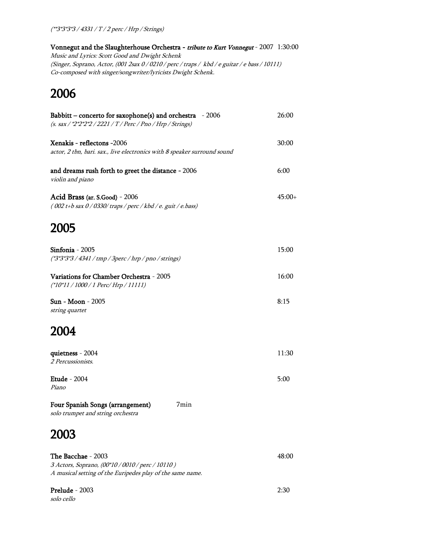Vonnegut and the Slaughterhouse Orchestra - tribute to Kurt Vonnegut - 2007 1:30:00 Music and Lyrics: Scott Good and Dwight Schenk (Singer, Soprano, Actor, (001 2sax 0 / 0210 / perc / traps / kbd / e guitar / e bass / 10111) Co-composed with singer/songwriter/lyricists Dwight Schenk.

#### 2006

| Babbitt – concerto for saxophone(s) and orchestra - 2006<br>(s. sax / *2*2*2*2 / 2221 / T / Perc / Pno / Hrp / Strings) | 26:00    |
|-------------------------------------------------------------------------------------------------------------------------|----------|
| Xenakis - reflectons -2006<br>actor, 2 tbn, bari. sax., live electronics with 8 speaker surround sound                  | 30:00    |
| and dreams rush forth to greet the distance - 2006<br>violin and piano                                                  | 6:00     |
| Acid Brass (ar. S.Good) - 2006<br>(002 t+b sax 0 / 0330/ traps / perc / kbd / e. guit / e.bass)                         | $45:00+$ |
| 2005                                                                                                                    |          |
| Sinfonia - 2005<br>(*3*3*3*3 / 4341 / tmp / 3perc / hrp / pno / strings)                                                | 15:00    |
| Variations for Chamber Orchestra - 2005<br>(*10*11 / 1000 / 1 Perc/ Hrp / 11111)                                        | 16:00    |
| <b>Sun - Moon - 2005</b><br>string quartet                                                                              | 8:15     |
| <b>2004</b>                                                                                                             |          |
| quietness - 2004<br>2 Percussionists.                                                                                   | 11:30    |
| <b>Etude</b> - 2004<br>Piano                                                                                            | 5:00     |
| Four Spanish Songs (arrangement)<br>7min<br>solo trumpet and string orchestra                                           |          |

#### 2003

| The Bacchae - 2003                                        | 48:00 |
|-----------------------------------------------------------|-------|
| 3 Actors, Soprano, (00*10 / 0010 / perc / 10110 )         |       |
| A musical setting of the Euripedes play of the same name. |       |
|                                                           |       |

**Prelude** - 2003 2:30 solo cello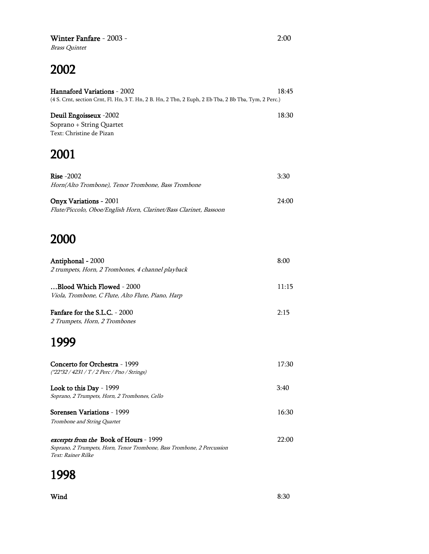#### Winter Fanfare - 2003 - 2:00

Brass Quintet

## 2002

| <b>Hannaford Variations - 2002</b>                                                                   | 18:45 |
|------------------------------------------------------------------------------------------------------|-------|
| (4 S. Crnt, section Crnt, Fl. Hn, 3 T. Hn, 2 B. Hn, 2 Tbn, 2 Euph, 2 Eb Tba, 2 Bb Tba, Tym, 2 Perc.) |       |
| <b>Deuil Engoisseux -2002</b>                                                                        | 18:30 |
| Soprano + String Quartet                                                                             |       |
| Text: Christine de Pizan                                                                             |       |

# 2001

| Rise $-2002$<br>Horn(Alto Trombone), Tenor Trombone, Bass Trombone                                 | 3:30  |
|----------------------------------------------------------------------------------------------------|-------|
| <b>Onyx Variations - 2001</b><br>Flute/Piccolo, Oboe/English Horn, Clarinet/Bass Clarinet, Bassoon | 24:00 |

#### 2000

| Antiphonal - 2000                                 | 8:00  |
|---------------------------------------------------|-------|
| 2 trumpets, Horn, 2 Trombones, 4 channel playback |       |
| Blood Which Flowed - 2000                         | 11:15 |
| Viola, Trombone, C Flute, Alto Flute, Piano, Harp |       |
| Fanfare for the S.L.C. - 2000                     | 2:15  |
| 2 Trumpets, Horn, 2 Trombones                     |       |
| 1999                                              |       |
| Concerto for Orchestra - 1999                     | 17:30 |
| (*22*32 / 4231 / T / 2 Perc / Pno / Strings)      |       |
| Look to this Day - 1999                           | 3:40  |
| Soprano, 2 Trumpets, Horn, 2 Trombones, Cello     |       |
| Sorensen Variations - 1999                        | 16:30 |
| Trombone and String Quartet                       |       |
| <i>excerpts from the Book of Hours - 1999</i>     | 22:00 |

Soprano, 2 Trumpets, Horn, Tenor Trombone, Bass Trombone, 2 Percussion Text: Rainer Rilke

## 1998